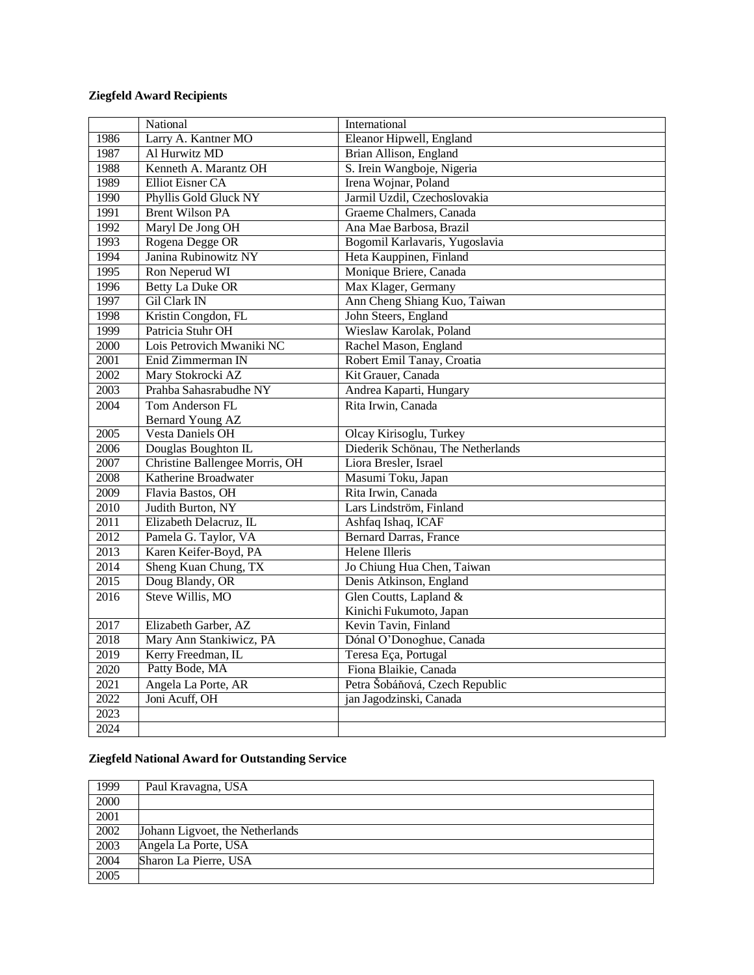## **Ziegfeld Award Recipients**

|                   | National                       | International                     |
|-------------------|--------------------------------|-----------------------------------|
| 1986              | Larry A. Kantner MO            | Eleanor Hipwell, England          |
| 1987              | Al Hurwitz MD                  | Brian Allison, England            |
| 1988              | Kenneth A. Marantz OH          | S. Irein Wangboje, Nigeria        |
| 1989              | <b>Elliot Eisner CA</b>        | Irena Wojnar, Poland              |
| 1990              | Phyllis Gold Gluck NY          | Jarmil Uzdil, Czechoslovakia      |
| 1991              | <b>Brent Wilson PA</b>         | Graeme Chalmers, Canada           |
| 1992              | Maryl De Jong OH               | Ana Mae Barbosa, Brazil           |
| 1993              | Rogena Degge OR                | Bogomil Karlavaris, Yugoslavia    |
| 1994              | Janina Rubinowitz NY           | Heta Kauppinen, Finland           |
| 1995              | Ron Neperud WI                 | Monique Briere, Canada            |
| 1996              | <b>Betty La Duke OR</b>        | Max Klager, Germany               |
| 1997              | <b>Gil Clark IN</b>            | Ann Cheng Shiang Kuo, Taiwan      |
| 1998              | Kristin Congdon, FL            | John Steers, England              |
| 1999              | Patricia Stuhr OH              | Wieslaw Karolak, Poland           |
| 2000              | Lois Petrovich Mwaniki NC      | Rachel Mason, England             |
| 2001              | Enid Zimmerman IN              | Robert Emil Tanay, Croatia        |
| 2002              | Mary Stokrocki AZ              | Kit Grauer, Canada                |
| $\overline{2003}$ | Prahba Sahasrabudhe NY         | Andrea Kaparti, Hungary           |
| 2004              | Tom Anderson FL                | Rita Irwin, Canada                |
|                   | Bernard Young AZ               |                                   |
| 2005              | Vesta Daniels OH               | Olcay Kirisoglu, Turkey           |
| 2006              | Douglas Boughton IL            | Diederik Schönau, The Netherlands |
| 2007              | Christine Ballengee Morris, OH | Liora Bresler, Israel             |
| 2008              | <b>Katherine Broadwater</b>    | Masumi Toku, Japan                |
| 2009              | Flavia Bastos, OH              | Rita Irwin, Canada                |
| 2010              | Judith Burton, NY              | Lars Lindström, Finland           |
| 2011              | Elizabeth Delacruz, IL         | Ashfaq Ishaq, ICAF                |
| 2012              | Pamela G. Taylor, VA           | <b>Bernard Darras, France</b>     |
| 2013              | Karen Keifer-Boyd, PA          | <b>Helene Illeris</b>             |
| 2014              | Sheng Kuan Chung, TX           | Jo Chiung Hua Chen, Taiwan        |
| 2015              | Doug Blandy, OR                | Denis Atkinson, England           |
| 2016              | Steve Willis, MO               | Glen Coutts, Lapland &            |
|                   |                                | Kinichi Fukumoto, Japan           |
| 2017              | Elizabeth Garber, AZ           | Kevin Tavin, Finland              |
| 2018              | Mary Ann Stankiwicz, PA        | Dónal O'Donoghue, Canada          |
| 2019              | Kerry Freedman, IL             | Teresa Eça, Portugal              |
| 2020              | Patty Bode, MA                 | Fiona Blaikie, Canada             |
| 2021              | Angela La Porte, AR            | Petra Šobáňová, Czech Republic    |
| 2022              | Joni Acuff, OH                 | jan Jagodzinski, Canada           |
| 2023              |                                |                                   |
| 2024              |                                |                                   |

## **Ziegfeld National Award for Outstanding Service**

| 1999 | Paul Kravagna, USA              |
|------|---------------------------------|
| 2000 |                                 |
| 2001 |                                 |
| 2002 | Johann Ligvoet, the Netherlands |
| 2003 | Angela La Porte, USA            |
| 2004 | Sharon La Pierre, USA           |
| 2005 |                                 |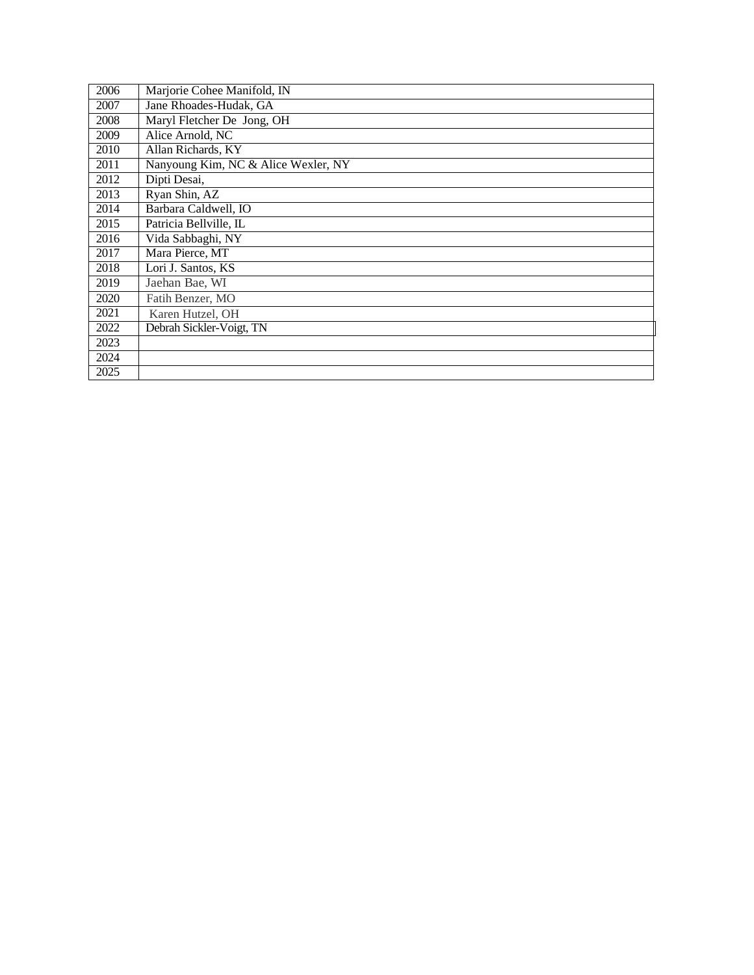| 2006 | Marjorie Cohee Manifold, IN         |
|------|-------------------------------------|
| 2007 | Jane Rhoades-Hudak, GA              |
| 2008 | Maryl Fletcher De Jong, OH          |
| 2009 | Alice Arnold, NC                    |
| 2010 | Allan Richards, KY                  |
| 2011 | Nanyoung Kim, NC & Alice Wexler, NY |
| 2012 | Dipti Desai,                        |
| 2013 | Ryan Shin, AZ                       |
| 2014 | Barbara Caldwell, IO                |
| 2015 | Patricia Bellville, IL              |
| 2016 | Vida Sabbaghi, NY                   |
| 2017 | Mara Pierce, MT                     |
| 2018 | Lori J. Santos, KS                  |
| 2019 | Jaehan Bae, WI                      |
| 2020 | Fatih Benzer, MO                    |
| 2021 | Karen Hutzel, OH                    |
| 2022 | Debrah Sickler-Voigt, TN            |
| 2023 |                                     |
| 2024 |                                     |
| 2025 |                                     |